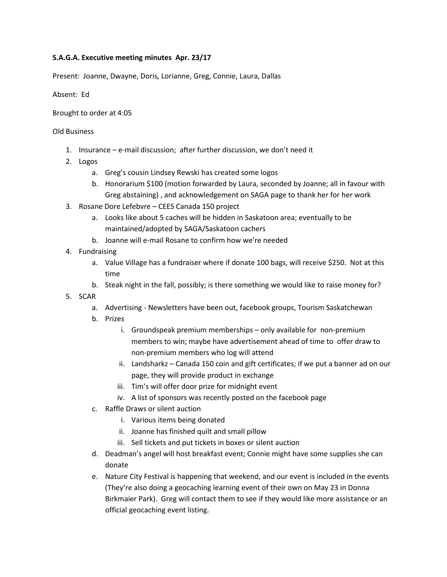## **S.A.G.A. Executive meeting minutes Apr. 23/17**

Present: Joanne, Dwayne, Doris, Lorianne, Greg, Connie, Laura, Dallas

Absent: Ed

Brought to order at 4:05

## Old Business

- 1. Insurance e-mail discussion; after further discussion, we don't need it
- 2. Logos
	- a. Greg's cousin Lindsey Rewski has created some logos
	- b. Honorarium \$100 (motion forwarded by Laura, seconded by Joanne; all in favour with Greg abstaining) , and acknowledgement on SAGA page to thank her for her work
- 3. Rosane Dore Lefebvre CEES Canada 150 project
	- a. Looks like about 5 caches will be hidden in Saskatoon area; eventually to be maintained/adopted by SAGA/Saskatoon cachers
	- b. Joanne will e-mail Rosane to confirm how we're needed
- 4. Fundraising
	- a. Value Village has a fundraiser where if donate 100 bags, will receive \$250. Not at this time
	- b. Steak night in the fall, possibly; is there something we would like to raise money for?
- 5. SCAR
	- a. Advertising Newsletters have been out, facebook groups, Tourism Saskatchewan
	- b. Prizes
		- i. Groundspeak premium memberships only available for non-premium members to win; maybe have advertisement ahead of time to offer draw to non-premium members who log will attend
		- ii. Landsharkz Canada 150 coin and gift certificates; if we put a banner ad on our page, they will provide product in exchange
		- iii. Tim's will offer door prize for midnight event
		- iv. A list of sponsors was recently posted on the facebook page
	- c. Raffle Draws or silent auction
		- i. Various items being donated
		- ii. Joanne has finished quilt and small pillow
		- iii. Sell tickets and put tickets in boxes or silent auction
	- d. Deadman's angel will host breakfast event; Connie might have some supplies she can donate
	- e. Nature City Festival is happening that weekend, and our event is included in the events (They're also doing a geocaching learning event of their own on May 23 in Donna Birkmaier Park). Greg will contact them to see if they would like more assistance or an official geocaching event listing.